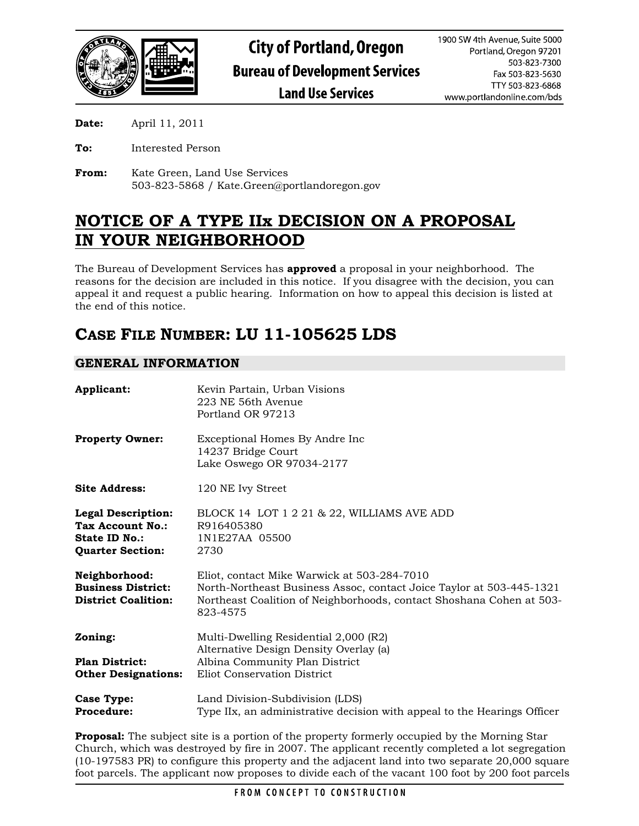

**Date:** April 11, 2011

- **To:** Interested Person
- **From:** Kate Green, Land Use Services 503-823-5868 / Kate.Green@portlandoregon.gov

# **NOTICE OF A TYPE IIx DECISION ON A PROPOSAL IN YOUR NEIGHBORHOOD**

The Bureau of Development Services has **approved** a proposal in your neighborhood. The reasons for the decision are included in this notice. If you disagree with the decision, you can appeal it and request a public hearing. Information on how to appeal this decision is listed at the end of this notice.

# **CASE FILE NUMBER: LU 11-105625 LDS**

# **GENERAL INFORMATION**

| Applicant:                                                                                | Kevin Partain, Urban Visions<br>223 NE 56th Avenue<br>Portland OR 97213                                                                                                                                 |
|-------------------------------------------------------------------------------------------|---------------------------------------------------------------------------------------------------------------------------------------------------------------------------------------------------------|
| <b>Property Owner:</b>                                                                    | Exceptional Homes By Andre Inc<br>14237 Bridge Court<br>Lake Oswego OR 97034-2177                                                                                                                       |
| <b>Site Address:</b>                                                                      | 120 NE Ivy Street                                                                                                                                                                                       |
| <b>Legal Description:</b><br>Tax Account No.:<br>State ID No.:<br><b>Quarter Section:</b> | BLOCK 14 LOT 1 2 21 & 22, WILLIAMS AVE ADD<br>R916405380<br>1N1E27AA 05500<br>2730                                                                                                                      |
| Neighborhood:<br><b>Business District:</b><br><b>District Coalition:</b>                  | Eliot, contact Mike Warwick at 503-284-7010<br>North-Northeast Business Assoc, contact Joice Taylor at 503-445-1321<br>Northeast Coalition of Neighborhoods, contact Shoshana Cohen at 503-<br>823-4575 |
| Zoning:                                                                                   | Multi-Dwelling Residential 2,000 (R2)<br>Alternative Design Density Overlay (a)                                                                                                                         |
| <b>Plan District:</b><br><b>Other Designations:</b>                                       | Albina Community Plan District<br>Eliot Conservation District                                                                                                                                           |
| <b>Case Type:</b><br>Procedure:                                                           | Land Division-Subdivision (LDS)<br>Type IIx, an administrative decision with appeal to the Hearings Officer                                                                                             |

**Proposal:** The subject site is a portion of the property formerly occupied by the Morning Star Church, which was destroyed by fire in 2007. The applicant recently completed a lot segregation (10-197583 PR) to configure this property and the adjacent land into two separate 20,000 square foot parcels. The applicant now proposes to divide each of the vacant 100 foot by 200 foot parcels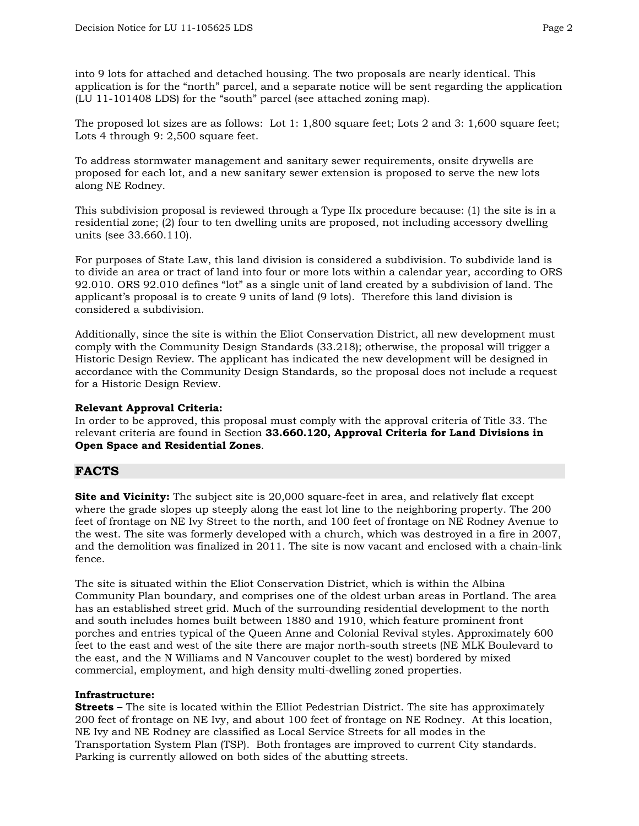into 9 lots for attached and detached housing. The two proposals are nearly identical. This application is for the "north" parcel, and a separate notice will be sent regarding the application (LU 11-101408 LDS) for the "south" parcel (see attached zoning map).

The proposed lot sizes are as follows: Lot 1: 1,800 square feet; Lots 2 and 3: 1,600 square feet; Lots 4 through 9: 2,500 square feet.

To address stormwater management and sanitary sewer requirements, onsite drywells are proposed for each lot, and a new sanitary sewer extension is proposed to serve the new lots along NE Rodney.

This subdivision proposal is reviewed through a Type IIx procedure because: (1) the site is in a residential zone; (2) four to ten dwelling units are proposed, not including accessory dwelling units (see 33.660.110).

For purposes of State Law, this land division is considered a subdivision. To subdivide land is to divide an area or tract of land into four or more lots within a calendar year, according to ORS 92.010. ORS 92.010 defines "lot" as a single unit of land created by a subdivision of land. The applicant's proposal is to create 9 units of land (9 lots). Therefore this land division is considered a subdivision.

Additionally, since the site is within the Eliot Conservation District, all new development must comply with the Community Design Standards (33.218); otherwise, the proposal will trigger a Historic Design Review. The applicant has indicated the new development will be designed in accordance with the Community Design Standards, so the proposal does not include a request for a Historic Design Review.

## **Relevant Approval Criteria:**

In order to be approved, this proposal must comply with the approval criteria of Title 33. The relevant criteria are found in Section **33.660.120, Approval Criteria for Land Divisions in Open Space and Residential Zones**.

# **FACTS**

**Site and Vicinity:** The subject site is 20,000 square-feet in area, and relatively flat except where the grade slopes up steeply along the east lot line to the neighboring property. The 200 feet of frontage on NE Ivy Street to the north, and 100 feet of frontage on NE Rodney Avenue to the west. The site was formerly developed with a church, which was destroyed in a fire in 2007, and the demolition was finalized in 2011. The site is now vacant and enclosed with a chain-link fence.

The site is situated within the Eliot Conservation District, which is within the Albina Community Plan boundary, and comprises one of the oldest urban areas in Portland. The area has an established street grid. Much of the surrounding residential development to the north and south includes homes built between 1880 and 1910, which feature prominent front porches and entries typical of the Queen Anne and Colonial Revival styles. Approximately 600 feet to the east and west of the site there are major north-south streets (NE MLK Boulevard to the east, and the N Williams and N Vancouver couplet to the west) bordered by mixed commercial, employment, and high density multi-dwelling zoned properties.

#### **Infrastructure:**

**Streets –** The site is located within the Elliot Pedestrian District. The site has approximately 200 feet of frontage on NE Ivy, and about 100 feet of frontage on NE Rodney. At this location, NE Ivy and NE Rodney are classified as Local Service Streets for all modes in the Transportation System Plan (TSP). Both frontages are improved to current City standards. Parking is currently allowed on both sides of the abutting streets.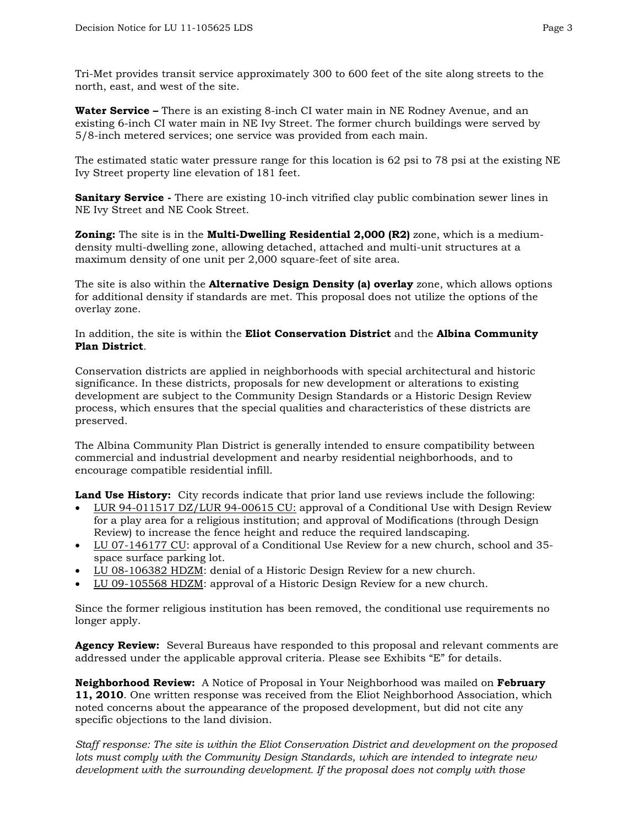Tri-Met provides transit service approximately 300 to 600 feet of the site along streets to the north, east, and west of the site.

**Water Service –** There is an existing 8-inch CI water main in NE Rodney Avenue, and an existing 6-inch CI water main in NE Ivy Street. The former church buildings were served by 5/8-inch metered services; one service was provided from each main.

The estimated static water pressure range for this location is 62 psi to 78 psi at the existing NE Ivy Street property line elevation of 181 feet.

**Sanitary Service** - There are existing 10-inch vitrified clay public combination sewer lines in NE Ivy Street and NE Cook Street.

**Zoning:** The site is in the **Multi-Dwelling Residential 2,000 (R2)** zone, which is a mediumdensity multi-dwelling zone, allowing detached, attached and multi-unit structures at a maximum density of one unit per 2,000 square-feet of site area.

The site is also within the **Alternative Design Density (a) overlay** zone, which allows options for additional density if standards are met. This proposal does not utilize the options of the overlay zone.

#### In addition, the site is within the **Eliot Conservation District** and the **Albina Community Plan District**.

Conservation districts are applied in neighborhoods with special architectural and historic significance. In these districts, proposals for new development or alterations to existing development are subject to the Community Design Standards or a Historic Design Review process, which ensures that the special qualities and characteristics of these districts are preserved.

The Albina Community Plan District is generally intended to ensure compatibility between commercial and industrial development and nearby residential neighborhoods, and to encourage compatible residential infill.

**Land Use History:** City records indicate that prior land use reviews include the following:

- LUR 94-011517 DZ/LUR 94-00615 CU: approval of a Conditional Use with Design Review for a play area for a religious institution; and approval of Modifications (through Design Review) to increase the fence height and reduce the required landscaping.
- LU 07-146177 CU: approval of a Conditional Use Review for a new church, school and 35 space surface parking lot.
- LU 08-106382 HDZM: denial of a Historic Design Review for a new church.
- LU 09-105568 HDZM: approval of a Historic Design Review for a new church.

Since the former religious institution has been removed, the conditional use requirements no longer apply.

**Agency Review:** Several Bureaus have responded to this proposal and relevant comments are addressed under the applicable approval criteria. Please see Exhibits "E" for details.

**Neighborhood Review:** A Notice of Proposal in Your Neighborhood was mailed on **February 11, 2010**. One written response was received from the Eliot Neighborhood Association, which noted concerns about the appearance of the proposed development, but did not cite any specific objections to the land division.

*Staff response: The site is within the Eliot Conservation District and development on the proposed lots must comply with the Community Design Standards, which are intended to integrate new development with the surrounding development. If the proposal does not comply with those*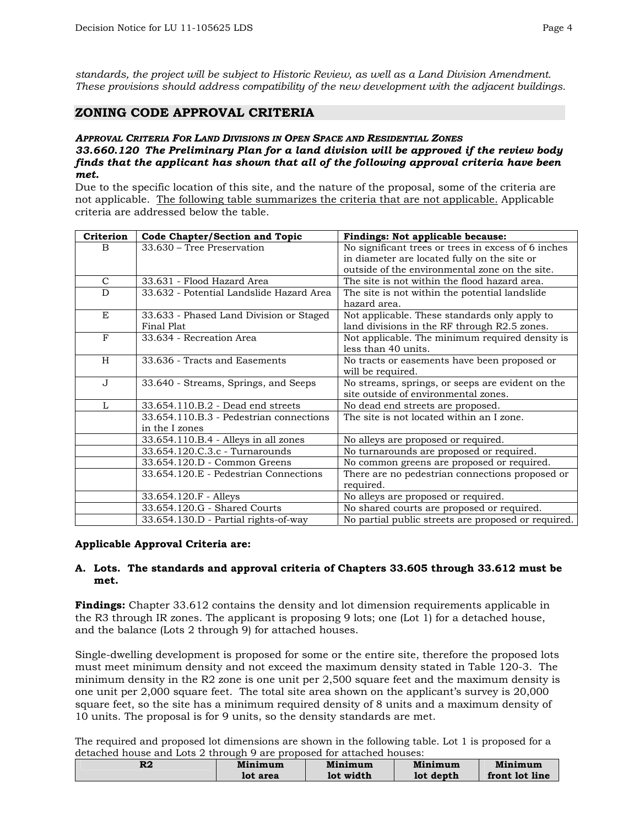*standards, the project will be subject to Historic Review, as well as a Land Division Amendment. These provisions should address compatibility of the new development with the adjacent buildings.* 

## **ZONING CODE APPROVAL CRITERIA**

#### *APPROVAL CRITERIA FOR LAND DIVISIONS IN OPEN SPACE AND RESIDENTIAL ZONES 33.660.120 The Preliminary Plan for a land division will be approved if the review body finds that the applicant has shown that all of the following approval criteria have been met.*

Due to the specific location of this site, and the nature of the proposal, some of the criteria are not applicable. The following table summarizes the criteria that are not applicable. Applicable criteria are addressed below the table.

| Criterion    | <b>Code Chapter/Section and Topic</b>    | Findings: Not applicable because:                   |
|--------------|------------------------------------------|-----------------------------------------------------|
| <sub>B</sub> | 33.630 – Tree Preservation               | No significant trees or trees in excess of 6 inches |
|              |                                          | in diameter are located fully on the site or        |
|              |                                          | outside of the environmental zone on the site.      |
| $\mathsf{C}$ | 33.631 - Flood Hazard Area               | The site is not within the flood hazard area.       |
| D            | 33.632 - Potential Landslide Hazard Area | The site is not within the potential landslide      |
|              |                                          | hazard area.                                        |
| E            | 33.633 - Phased Land Division or Staged  | Not applicable. These standards only apply to       |
|              | Final Plat                               | land divisions in the RF through R2.5 zones.        |
| F            | 33.634 - Recreation Area                 | Not applicable. The minimum required density is     |
|              |                                          | less than 40 units.                                 |
| H            | 33.636 - Tracts and Easements            | No tracts or easements have been proposed or        |
|              |                                          | will be required.                                   |
| $J_{\rm}$    | 33.640 - Streams, Springs, and Seeps     | No streams, springs, or seeps are evident on the    |
|              |                                          | site outside of environmental zones.                |
| L            | 33.654.110.B.2 - Dead end streets        | No dead end streets are proposed.                   |
|              | 33.654.110.B.3 - Pedestrian connections  | The site is not located within an I zone.           |
|              | in the I zones                           |                                                     |
|              | 33.654.110.B.4 - Alleys in all zones     | No alleys are proposed or required.                 |
|              | 33.654.120.C.3.c - Turnarounds           | No turnarounds are proposed or required.            |
|              | 33.654.120.D - Common Greens             | No common greens are proposed or required.          |
|              | 33.654.120.E - Pedestrian Connections    | There are no pedestrian connections proposed or     |
|              |                                          | required.                                           |
|              | 33.654.120.F - Alleys                    | No alleys are proposed or required.                 |
|              | 33.654.120.G - Shared Courts             | No shared courts are proposed or required.          |
|              | 33.654.130.D - Partial rights-of-way     | No partial public streets are proposed or required. |

#### **Applicable Approval Criteria are:**

#### **A. Lots. The standards and approval criteria of Chapters 33.605 through 33.612 must be met.**

**Findings:** Chapter 33.612 contains the density and lot dimension requirements applicable in the R3 through IR zones. The applicant is proposing 9 lots; one (Lot 1) for a detached house, and the balance (Lots 2 through 9) for attached houses.

Single-dwelling development is proposed for some or the entire site, therefore the proposed lots must meet minimum density and not exceed the maximum density stated in Table 120-3. The minimum density in the R2 zone is one unit per 2,500 square feet and the maximum density is one unit per 2,000 square feet. The total site area shown on the applicant's survey is 20,000 square feet, so the site has a minimum required density of 8 units and a maximum density of 10 units. The proposal is for 9 units, so the density standards are met.

The required and proposed lot dimensions are shown in the following table. Lot 1 is proposed for a detached house and Lots 2 through 9 are proposed for attached houses:

| DΩ<br>ĸz | Minimum  | Minimum   | Minimum   | Minimum        |
|----------|----------|-----------|-----------|----------------|
|          | lot area | lot width | lot depth | front lot line |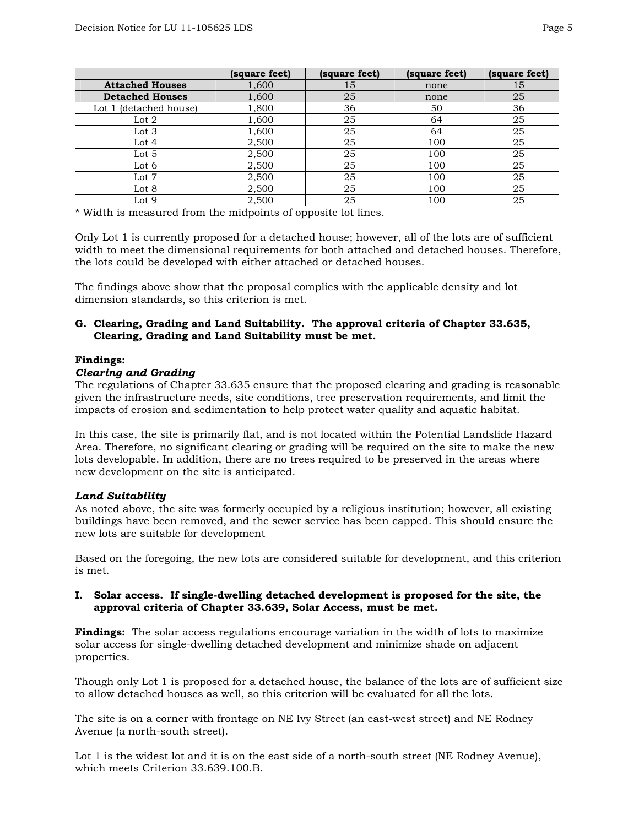|                        | (square feet) | (square feet) | (square feet) | (square feet) |
|------------------------|---------------|---------------|---------------|---------------|
| <b>Attached Houses</b> | 1,600         | 15            | none          | 15            |
| <b>Detached Houses</b> | 1,600         | 25            | none          | 25            |
| Lot 1 (detached house) | 1,800         | 36            | 50            | 36            |
| Lot $2$                | 1,600         | 25            | 64            | 25            |
| Lot 3                  | 1,600         | 25            | 64            | 25            |
| Lot 4                  | 2,500         | 25            | 100           | 25            |
| Lot 5                  | 2,500         | 25            | 100           | 25            |
| Lot 6                  | 2,500         | 25            | 100           | 25            |
| Lot 7                  | 2,500         | 25            | 100           | 25            |
| Lot 8                  | 2,500         | 25            | 100           | 25            |
| Lot 9                  | 2,500         | 25            | 100           | 25            |

\* Width is measured from the midpoints of opposite lot lines.

Only Lot 1 is currently proposed for a detached house; however, all of the lots are of sufficient width to meet the dimensional requirements for both attached and detached houses. Therefore, the lots could be developed with either attached or detached houses.

The findings above show that the proposal complies with the applicable density and lot dimension standards, so this criterion is met.

### **G. Clearing, Grading and Land Suitability. The approval criteria of Chapter 33.635, Clearing, Grading and Land Suitability must be met.**

#### **Findings:**

#### *Clearing and Grading*

The regulations of Chapter 33.635 ensure that the proposed clearing and grading is reasonable given the infrastructure needs, site conditions, tree preservation requirements, and limit the impacts of erosion and sedimentation to help protect water quality and aquatic habitat.

In this case, the site is primarily flat, and is not located within the Potential Landslide Hazard Area. Therefore, no significant clearing or grading will be required on the site to make the new lots developable. In addition, there are no trees required to be preserved in the areas where new development on the site is anticipated.

#### *Land Suitability*

As noted above, the site was formerly occupied by a religious institution; however, all existing buildings have been removed, and the sewer service has been capped. This should ensure the new lots are suitable for development

Based on the foregoing, the new lots are considered suitable for development, and this criterion is met.

#### **I. Solar access. If single-dwelling detached development is proposed for the site, the approval criteria of Chapter 33.639, Solar Access, must be met.**

**Findings:** The solar access regulations encourage variation in the width of lots to maximize solar access for single-dwelling detached development and minimize shade on adjacent properties.

Though only Lot 1 is proposed for a detached house, the balance of the lots are of sufficient size to allow detached houses as well, so this criterion will be evaluated for all the lots.

The site is on a corner with frontage on NE Ivy Street (an east-west street) and NE Rodney Avenue (a north-south street).

Lot 1 is the widest lot and it is on the east side of a north-south street (NE Rodney Avenue), which meets Criterion 33.639.100.B.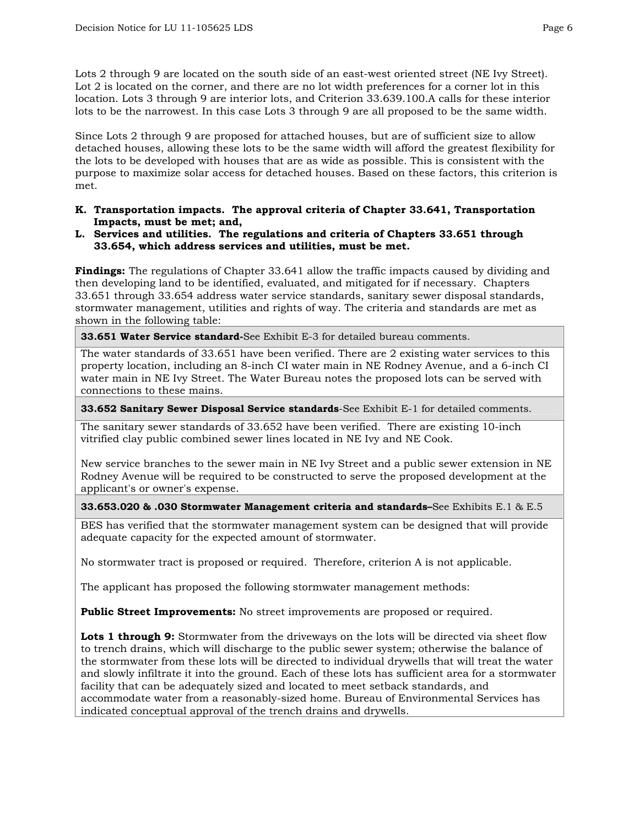Lots 2 through 9 are located on the south side of an east-west oriented street (NE Ivy Street). Lot 2 is located on the corner, and there are no lot width preferences for a corner lot in this location. Lots 3 through 9 are interior lots, and Criterion 33.639.100.A calls for these interior lots to be the narrowest. In this case Lots 3 through 9 are all proposed to be the same width.

Since Lots 2 through 9 are proposed for attached houses, but are of sufficient size to allow detached houses, allowing these lots to be the same width will afford the greatest flexibility for the lots to be developed with houses that are as wide as possible. This is consistent with the purpose to maximize solar access for detached houses. Based on these factors, this criterion is met.

- **K. Transportation impacts. The approval criteria of Chapter 33.641, Transportation Impacts, must be met; and,**
- **L. Services and utilities. The regulations and criteria of Chapters 33.651 through 33.654, which address services and utilities, must be met.**

**Findings:** The regulations of Chapter 33.641 allow the traffic impacts caused by dividing and then developing land to be identified, evaluated, and mitigated for if necessary. Chapters 33.651 through 33.654 address water service standards, sanitary sewer disposal standards, stormwater management, utilities and rights of way. The criteria and standards are met as shown in the following table:

**33.651 Water Service standard-**See Exhibit E-3 for detailed bureau comments.

The water standards of 33.651 have been verified. There are 2 existing water services to this property location, including an 8-inch CI water main in NE Rodney Avenue, and a 6-inch CI water main in NE Ivy Street. The Water Bureau notes the proposed lots can be served with connections to these mains.

**33.652 Sanitary Sewer Disposal Service standards**-See Exhibit E-1 for detailed comments.

The sanitary sewer standards of 33.652 have been verified. There are existing 10-inch vitrified clay public combined sewer lines located in NE Ivy and NE Cook.

New service branches to the sewer main in NE Ivy Street and a public sewer extension in NE Rodney Avenue will be required to be constructed to serve the proposed development at the applicant's or owner's expense.

**33.653.020 & .030 Stormwater Management criteria and standards–**See Exhibits E.1 & E.5

BES has verified that the stormwater management system can be designed that will provide adequate capacity for the expected amount of stormwater.

No stormwater tract is proposed or required. Therefore, criterion A is not applicable.

The applicant has proposed the following stormwater management methods:

**Public Street Improvements:** No street improvements are proposed or required.

Lots 1 through 9: Stormwater from the driveways on the lots will be directed via sheet flow to trench drains, which will discharge to the public sewer system; otherwise the balance of the stormwater from these lots will be directed to individual drywells that will treat the water and slowly infiltrate it into the ground. Each of these lots has sufficient area for a stormwater facility that can be adequately sized and located to meet setback standards, and accommodate water from a reasonably-sized home. Bureau of Environmental Services has indicated conceptual approval of the trench drains and drywells.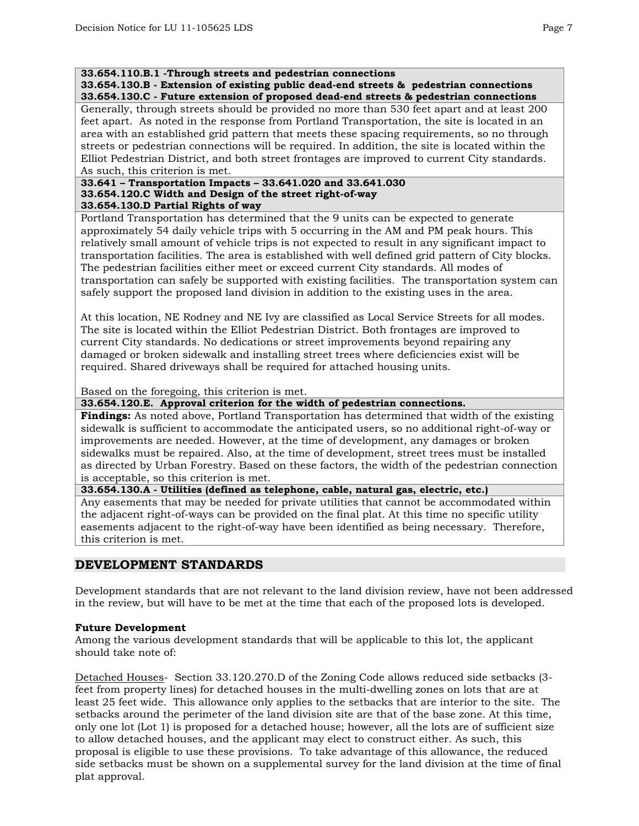#### **33.654.110.B.1 -Through streets and pedestrian connections**

**33.654.130.B - Extension of existing public dead-end streets & pedestrian connections 33.654.130.C - Future extension of proposed dead-end streets & pedestrian connections** 

Generally, through streets should be provided no more than 530 feet apart and at least 200 feet apart. As noted in the response from Portland Transportation, the site is located in an area with an established grid pattern that meets these spacing requirements, so no through streets or pedestrian connections will be required. In addition, the site is located within the Elliot Pedestrian District, and both street frontages are improved to current City standards. As such, this criterion is met.

#### **33.641 – Transportation Impacts – 33.641.020 and 33.641.030 33.654.120.C Width and Design of the street right-of-way 33.654.130.D Partial Rights of way**

Portland Transportation has determined that the 9 units can be expected to generate approximately 54 daily vehicle trips with 5 occurring in the AM and PM peak hours. This relatively small amount of vehicle trips is not expected to result in any significant impact to transportation facilities. The area is established with well defined grid pattern of City blocks. The pedestrian facilities either meet or exceed current City standards. All modes of transportation can safely be supported with existing facilities. The transportation system can safely support the proposed land division in addition to the existing uses in the area.

At this location, NE Rodney and NE Ivy are classified as Local Service Streets for all modes. The site is located within the Elliot Pedestrian District. Both frontages are improved to current City standards. No dedications or street improvements beyond repairing any damaged or broken sidewalk and installing street trees where deficiencies exist will be required. Shared driveways shall be required for attached housing units.

Based on the foregoing, this criterion is met.

**33.654.120.E. Approval criterion for the width of pedestrian connections.** 

**Findings:** As noted above, Portland Transportation has determined that width of the existing sidewalk is sufficient to accommodate the anticipated users, so no additional right-of-way or improvements are needed. However, at the time of development, any damages or broken sidewalks must be repaired. Also, at the time of development, street trees must be installed as directed by Urban Forestry. Based on these factors, the width of the pedestrian connection is acceptable, so this criterion is met.

**33.654.130.A - Utilities (defined as telephone, cable, natural gas, electric, etc.)** 

Any easements that may be needed for private utilities that cannot be accommodated within the adjacent right-of-ways can be provided on the final plat. At this time no specific utility easements adjacent to the right-of-way have been identified as being necessary. Therefore, this criterion is met.

# **DEVELOPMENT STANDARDS**

Development standards that are not relevant to the land division review, have not been addressed in the review, but will have to be met at the time that each of the proposed lots is developed.

## **Future Development**

Among the various development standards that will be applicable to this lot, the applicant should take note of:

Detached Houses- Section 33.120.270.D of the Zoning Code allows reduced side setbacks (3 feet from property lines) for detached houses in the multi-dwelling zones on lots that are at least 25 feet wide. This allowance only applies to the setbacks that are interior to the site. The setbacks around the perimeter of the land division site are that of the base zone. At this time, only one lot (Lot 1) is proposed for a detached house; however, all the lots are of sufficient size to allow detached houses, and the applicant may elect to construct either. As such, this proposal is eligible to use these provisions. To take advantage of this allowance, the reduced side setbacks must be shown on a supplemental survey for the land division at the time of final plat approval.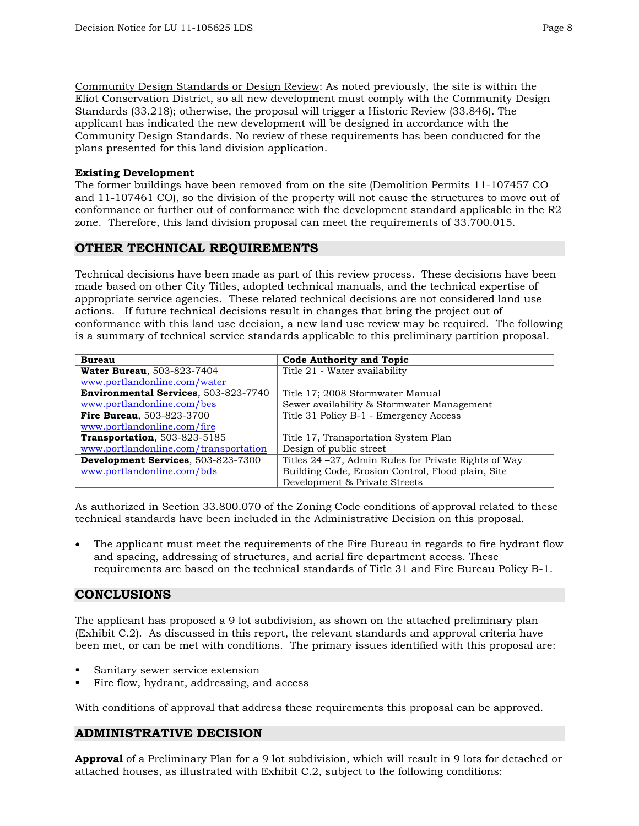Community Design Standards or Design Review: As noted previously, the site is within the Eliot Conservation District, so all new development must comply with the Community Design Standards (33.218); otherwise, the proposal will trigger a Historic Review (33.846). The applicant has indicated the new development will be designed in accordance with the Community Design Standards. No review of these requirements has been conducted for the plans presented for this land division application.

#### **Existing Development**

The former buildings have been removed from on the site (Demolition Permits 11-107457 CO and 11-107461 CO), so the division of the property will not cause the structures to move out of conformance or further out of conformance with the development standard applicable in the R2 zone. Therefore, this land division proposal can meet the requirements of 33.700.015.

## **OTHER TECHNICAL REQUIREMENTS**

Technical decisions have been made as part of this review process. These decisions have been made based on other City Titles, adopted technical manuals, and the technical expertise of appropriate service agencies. These related technical decisions are not considered land use actions. If future technical decisions result in changes that bring the project out of conformance with this land use decision, a new land use review may be required. The following is a summary of technical service standards applicable to this preliminary partition proposal.

| <b>Bureau</b>                                | <b>Code Authority and Topic</b>                       |  |
|----------------------------------------------|-------------------------------------------------------|--|
| <b>Water Bureau, 503-823-7404</b>            | Title 21 - Water availability                         |  |
| www.portlandonline.com/water                 |                                                       |  |
| <b>Environmental Services</b> , 503-823-7740 | Title 17: 2008 Stormwater Manual                      |  |
| www.portlandonline.com/bes                   | Sewer availability & Stormwater Management            |  |
| <b>Fire Bureau.</b> 503-823-3700             | Title 31 Policy B-1 - Emergency Access                |  |
| www.portlandonline.com/fire                  |                                                       |  |
| <b>Transportation</b> , 503-823-5185         | Title 17, Transportation System Plan                  |  |
| www.portlandonline.com/transportation        | Design of public street                               |  |
| Development Services, 503-823-7300           | Titles 24 – 27, Admin Rules for Private Rights of Way |  |
| www.portlandonline.com/bds                   | Building Code, Erosion Control, Flood plain, Site     |  |
|                                              | Development & Private Streets                         |  |

As authorized in Section 33.800.070 of the Zoning Code conditions of approval related to these technical standards have been included in the Administrative Decision on this proposal.

The applicant must meet the requirements of the Fire Bureau in regards to fire hydrant flow and spacing, addressing of structures, and aerial fire department access. These requirements are based on the technical standards of Title 31 and Fire Bureau Policy B-1.

## **CONCLUSIONS**

The applicant has proposed a 9 lot subdivision, as shown on the attached preliminary plan (Exhibit C.2). As discussed in this report, the relevant standards and approval criteria have been met, or can be met with conditions. The primary issues identified with this proposal are:

- Sanitary sewer service extension
- Fire flow, hydrant, addressing, and access

With conditions of approval that address these requirements this proposal can be approved.

# **ADMINISTRATIVE DECISION**

**Approval** of a Preliminary Plan for a 9 lot subdivision, which will result in 9 lots for detached or attached houses, as illustrated with Exhibit C.2, subject to the following conditions: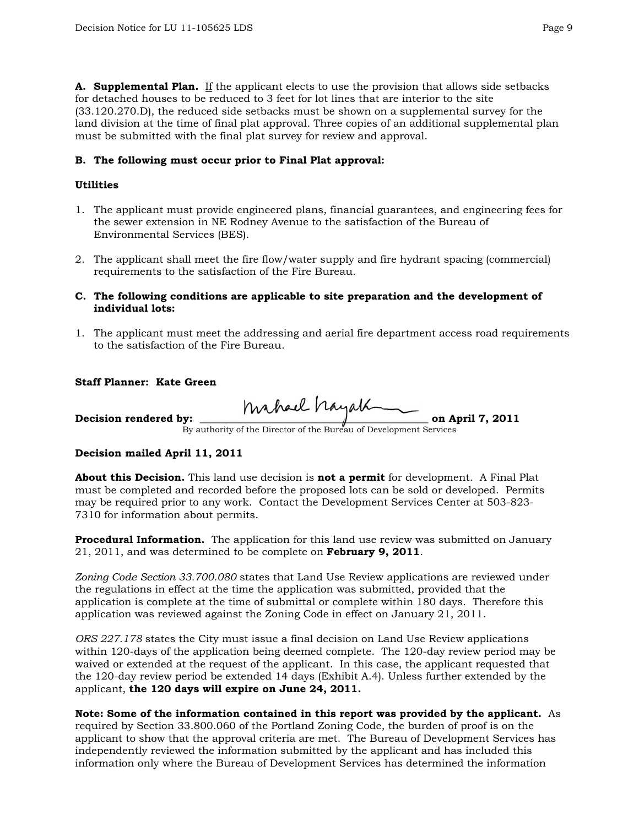**A. Supplemental Plan.** If the applicant elects to use the provision that allows side setbacks for detached houses to be reduced to 3 feet for lot lines that are interior to the site (33.120.270.D), the reduced side setbacks must be shown on a supplemental survey for the land division at the time of final plat approval. Three copies of an additional supplemental plan must be submitted with the final plat survey for review and approval.

### **B. The following must occur prior to Final Plat approval:**

#### **Utilities**

- 1. The applicant must provide engineered plans, financial guarantees, and engineering fees for the sewer extension in NE Rodney Avenue to the satisfaction of the Bureau of Environmental Services (BES).
- 2. The applicant shall meet the fire flow/water supply and fire hydrant spacing (commercial) requirements to the satisfaction of the Fire Bureau.

#### **C. The following conditions are applicable to site preparation and the development of individual lots:**

1. The applicant must meet the addressing and aerial fire department access road requirements to the satisfaction of the Fire Bureau.

#### **Staff Planner: Kate Green**

**Decision rendered by: \_\_\_\_\_\_\_\_\_\_\_\_\_\_\_\_\_\_\_\_\_\_\_\_\_\_\_\_\_\_\_\_\_\_\_\_\_\_\_\_\_\_\_\_ on April 7, 2011** 

By authority of the Director of the Bureau of Development Services

## **Decision mailed April 11, 2011**

**About this Decision.** This land use decision is **not a permit** for development. A Final Plat must be completed and recorded before the proposed lots can be sold or developed. Permits may be required prior to any work. Contact the Development Services Center at 503-823- 7310 for information about permits.

**Procedural Information.** The application for this land use review was submitted on January 21, 2011, and was determined to be complete on **February 9, 2011**.

*Zoning Code Section 33.700.080* states that Land Use Review applications are reviewed under the regulations in effect at the time the application was submitted, provided that the application is complete at the time of submittal or complete within 180 days. Therefore this application was reviewed against the Zoning Code in effect on January 21, 2011.

*ORS 227.178* states the City must issue a final decision on Land Use Review applications within 120-days of the application being deemed complete. The 120-day review period may be waived or extended at the request of the applicant. In this case, the applicant requested that the 120-day review period be extended 14 days (Exhibit A.4). Unless further extended by the applicant, **the 120 days will expire on June 24, 2011.**

## **Note: Some of the information contained in this report was provided by the applicant.** As

required by Section 33.800.060 of the Portland Zoning Code, the burden of proof is on the applicant to show that the approval criteria are met. The Bureau of Development Services has independently reviewed the information submitted by the applicant and has included this information only where the Bureau of Development Services has determined the information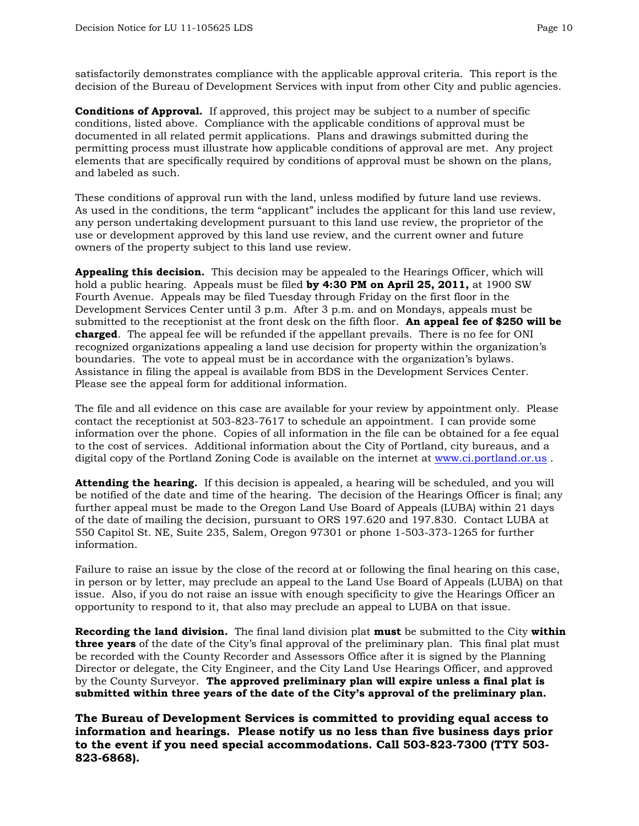satisfactorily demonstrates compliance with the applicable approval criteria. This report is the decision of the Bureau of Development Services with input from other City and public agencies.

**Conditions of Approval.** If approved, this project may be subject to a number of specific conditions, listed above. Compliance with the applicable conditions of approval must be documented in all related permit applications. Plans and drawings submitted during the permitting process must illustrate how applicable conditions of approval are met. Any project elements that are specifically required by conditions of approval must be shown on the plans, and labeled as such.

These conditions of approval run with the land, unless modified by future land use reviews. As used in the conditions, the term "applicant" includes the applicant for this land use review, any person undertaking development pursuant to this land use review, the proprietor of the use or development approved by this land use review, and the current owner and future owners of the property subject to this land use review.

**Appealing this decision.** This decision may be appealed to the Hearings Officer, which will hold a public hearing. Appeals must be filed **by 4:30 PM on April 25, 2011,** at 1900 SW Fourth Avenue. Appeals may be filed Tuesday through Friday on the first floor in the Development Services Center until 3 p.m. After 3 p.m. and on Mondays, appeals must be submitted to the receptionist at the front desk on the fifth floor. **An appeal fee of \$250 will be charged**. The appeal fee will be refunded if the appellant prevails. There is no fee for ONI recognized organizations appealing a land use decision for property within the organization's boundaries. The vote to appeal must be in accordance with the organization's bylaws. Assistance in filing the appeal is available from BDS in the Development Services Center. Please see the appeal form for additional information.

The file and all evidence on this case are available for your review by appointment only. Please contact the receptionist at 503-823-7617 to schedule an appointment. I can provide some information over the phone. Copies of all information in the file can be obtained for a fee equal to the cost of services. Additional information about the City of Portland, city bureaus, and a digital copy of the Portland Zoning Code is available on the internet at [www.ci.portland.or.us](http://www.ci.portland.or.us/) .

**Attending the hearing.** If this decision is appealed, a hearing will be scheduled, and you will be notified of the date and time of the hearing. The decision of the Hearings Officer is final; any further appeal must be made to the Oregon Land Use Board of Appeals (LUBA) within 21 days of the date of mailing the decision, pursuant to ORS 197.620 and 197.830. Contact LUBA at 550 Capitol St. NE, Suite 235, Salem, Oregon 97301 or phone 1-503-373-1265 for further information.

Failure to raise an issue by the close of the record at or following the final hearing on this case, in person or by letter, may preclude an appeal to the Land Use Board of Appeals (LUBA) on that issue. Also, if you do not raise an issue with enough specificity to give the Hearings Officer an opportunity to respond to it, that also may preclude an appeal to LUBA on that issue.

**Recording the land division.** The final land division plat **must** be submitted to the City **within three years** of the date of the City's final approval of the preliminary plan. This final plat must be recorded with the County Recorder and Assessors Office after it is signed by the Planning Director or delegate, the City Engineer, and the City Land Use Hearings Officer, and approved by the County Surveyor. **The approved preliminary plan will expire unless a final plat is submitted within three years of the date of the City's approval of the preliminary plan.** 

**The Bureau of Development Services is committed to providing equal access to information and hearings. Please notify us no less than five business days prior to the event if you need special accommodations. Call 503-823-7300 (TTY 503- 823-6868).**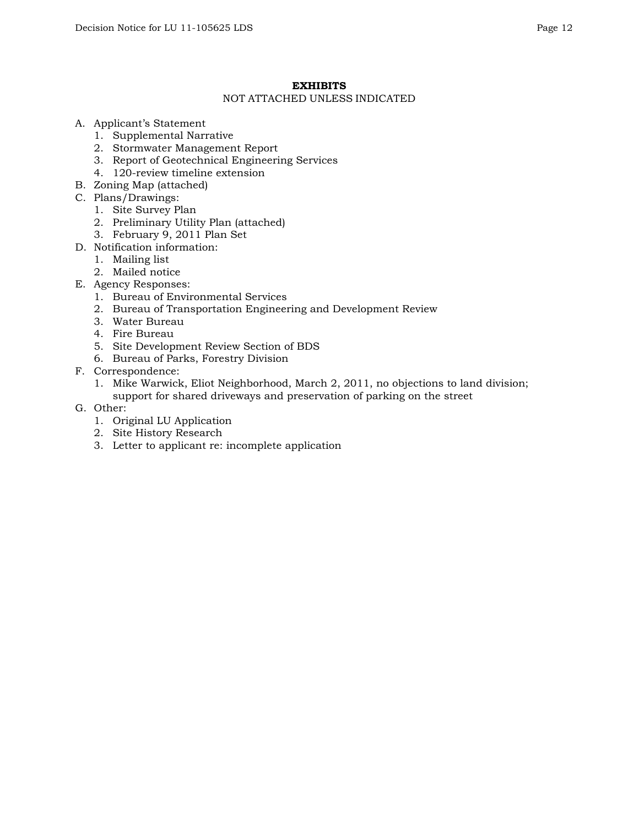## **EXHIBITS**

#### NOT ATTACHED UNLESS INDICATED

- A. Applicant's Statement
	- 1. Supplemental Narrative
	- 2. Stormwater Management Report
	- 3. Report of Geotechnical Engineering Services
	- 4. 120-review timeline extension
- B. Zoning Map (attached)
- C. Plans/Drawings:
	- 1. Site Survey Plan
	- 2. Preliminary Utility Plan (attached)
	- 3. February 9, 2011 Plan Set
- D. Notification information:
	- 1. Mailing list
	- 2. Mailed notice
- E. Agency Responses:
	- 1. Bureau of Environmental Services
	- 2. Bureau of Transportation Engineering and Development Review
	- 3. Water Bureau
	- 4. Fire Bureau
	- 5. Site Development Review Section of BDS
	- 6. Bureau of Parks, Forestry Division
- F. Correspondence:
	- 1. Mike Warwick, Eliot Neighborhood, March 2, 2011, no objections to land division; support for shared driveways and preservation of parking on the street
- G. Other:
	- 1. Original LU Application
	- 2. Site History Research
	- 3. Letter to applicant re: incomplete application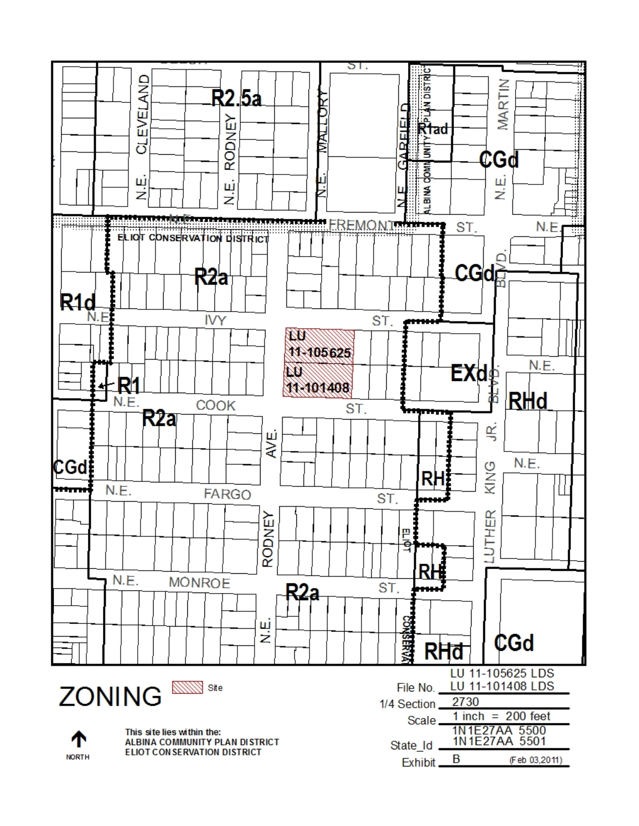